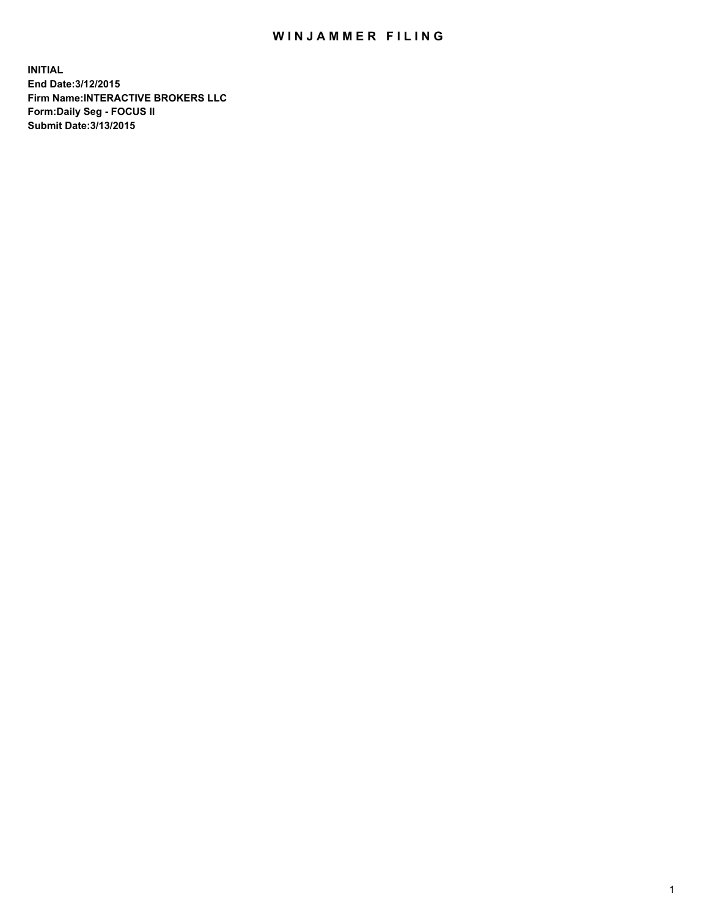## WIN JAMMER FILING

**INITIAL End Date:3/12/2015 Firm Name:INTERACTIVE BROKERS LLC Form:Daily Seg - FOCUS II Submit Date:3/13/2015**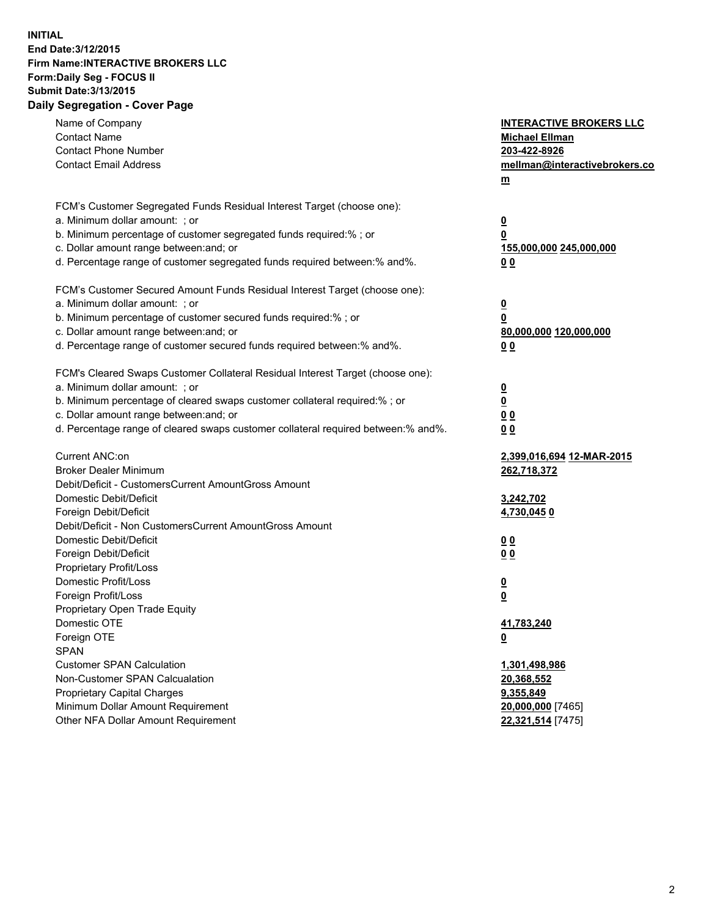## **INITIAL End Date:3/12/2015 Firm Name:INTERACTIVE BROKERS LLC Form:Daily Seg - FOCUS II Submit Date:3/13/2015 Daily Segregation - Cover Page**

| Name of Company                                                                   | <b>INTERACTIVE BROKERS LLC</b> |
|-----------------------------------------------------------------------------------|--------------------------------|
| <b>Contact Name</b>                                                               | <b>Michael Ellman</b>          |
| <b>Contact Phone Number</b>                                                       | 203-422-8926                   |
| <b>Contact Email Address</b>                                                      | mellman@interactivebrokers.co  |
|                                                                                   | $\underline{\mathbf{m}}$       |
|                                                                                   |                                |
| FCM's Customer Segregated Funds Residual Interest Target (choose one):            |                                |
| a. Minimum dollar amount: ; or                                                    | $\overline{\mathbf{0}}$        |
| b. Minimum percentage of customer segregated funds required:% ; or                | 0                              |
| c. Dollar amount range between: and; or                                           | 155,000,000 245,000,000        |
| d. Percentage range of customer segregated funds required between:% and%.         | 00                             |
| FCM's Customer Secured Amount Funds Residual Interest Target (choose one):        |                                |
| a. Minimum dollar amount: ; or                                                    | $\overline{\mathbf{0}}$        |
| b. Minimum percentage of customer secured funds required:% ; or                   | 0                              |
| c. Dollar amount range between: and; or                                           | 80,000,000 120,000,000         |
| d. Percentage range of customer secured funds required between:% and%.            | 00                             |
|                                                                                   |                                |
| FCM's Cleared Swaps Customer Collateral Residual Interest Target (choose one):    |                                |
| a. Minimum dollar amount: ; or                                                    | $\overline{\mathbf{0}}$        |
| b. Minimum percentage of cleared swaps customer collateral required:% ; or        | $\underline{\mathbf{0}}$       |
| c. Dollar amount range between: and; or                                           | 0 <sub>0</sub>                 |
| d. Percentage range of cleared swaps customer collateral required between:% and%. | 0 <sub>0</sub>                 |
|                                                                                   |                                |
| Current ANC:on                                                                    | 2,399,016,694 12-MAR-2015      |
| <b>Broker Dealer Minimum</b>                                                      | 262,718,372                    |
| Debit/Deficit - CustomersCurrent AmountGross Amount                               |                                |
| Domestic Debit/Deficit                                                            | 3,242,702                      |
| Foreign Debit/Deficit                                                             | 4,730,0450                     |
| Debit/Deficit - Non CustomersCurrent AmountGross Amount                           |                                |
| Domestic Debit/Deficit                                                            | 0 <sub>0</sub>                 |
| Foreign Debit/Deficit                                                             | 0 <sub>0</sub>                 |
| Proprietary Profit/Loss                                                           |                                |
| Domestic Profit/Loss                                                              | $\overline{\mathbf{0}}$        |
| Foreign Profit/Loss                                                               | $\underline{\mathbf{0}}$       |
| Proprietary Open Trade Equity<br>Domestic OTE                                     |                                |
|                                                                                   | 41,783,240                     |
| Foreign OTE                                                                       | <u>0</u>                       |
| <b>SPAN</b><br><b>Customer SPAN Calculation</b>                                   |                                |
|                                                                                   | 1,301,498,986                  |
| Non-Customer SPAN Calcualation                                                    | 20,368,552                     |
| Proprietary Capital Charges<br>Minimum Dollar Amount Requirement                  | 9,355,849                      |
| Other NFA Dollar Amount Requirement                                               | 20,000,000 [7465]              |
|                                                                                   | 22,321,514 [7475]              |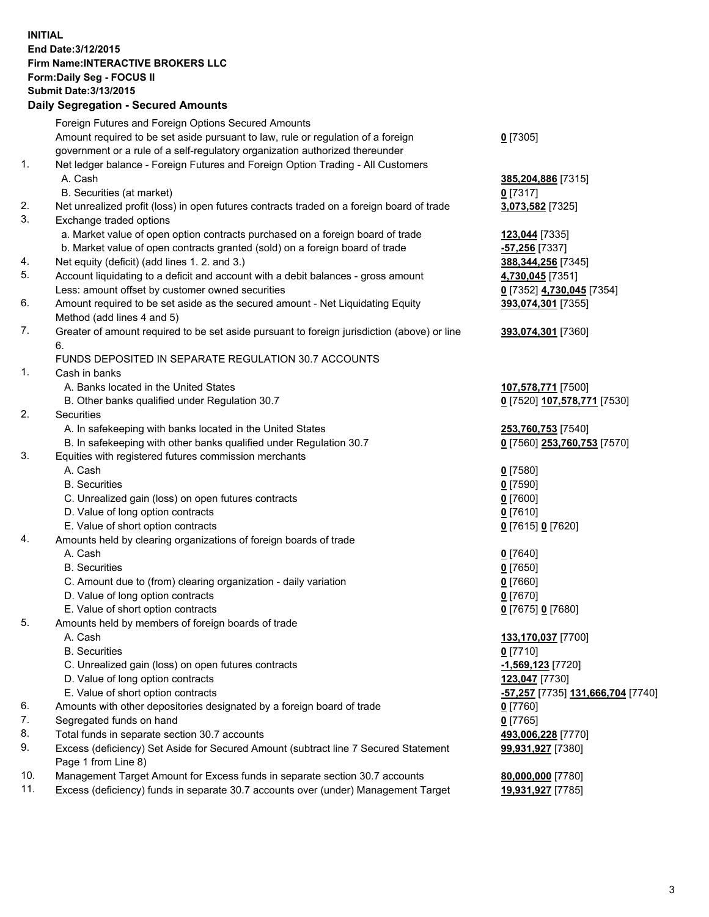## **INITIAL End Date:3/12/2015 Firm Name:INTERACTIVE BROKERS LLC Form:Daily Seg - FOCUS II Submit Date:3/13/2015 Daily Segregation - Secured Amounts**

|     | Daily Ocglegation - Occarea Anioants                                                        |                                   |
|-----|---------------------------------------------------------------------------------------------|-----------------------------------|
|     | Foreign Futures and Foreign Options Secured Amounts                                         |                                   |
|     | Amount required to be set aside pursuant to law, rule or regulation of a foreign            | $0$ [7305]                        |
|     | government or a rule of a self-regulatory organization authorized thereunder                |                                   |
| 1.  | Net ledger balance - Foreign Futures and Foreign Option Trading - All Customers             |                                   |
|     | A. Cash                                                                                     | 385,204,886 [7315]                |
|     | B. Securities (at market)                                                                   | $0$ [7317]                        |
| 2.  | Net unrealized profit (loss) in open futures contracts traded on a foreign board of trade   | 3,073,582 [7325]                  |
| 3.  | Exchange traded options                                                                     |                                   |
|     | a. Market value of open option contracts purchased on a foreign board of trade              | 123,044 [7335]                    |
|     | b. Market value of open contracts granted (sold) on a foreign board of trade                | -57,256 [7337]                    |
| 4.  | Net equity (deficit) (add lines 1.2. and 3.)                                                | 388, 344, 256 [7345]              |
| 5.  | Account liquidating to a deficit and account with a debit balances - gross amount           | 4,730,045 [7351]                  |
|     | Less: amount offset by customer owned securities                                            | 0 [7352] 4,730,045 [7354]         |
| 6.  | Amount required to be set aside as the secured amount - Net Liquidating Equity              | 393,074,301 [7355]                |
|     | Method (add lines 4 and 5)                                                                  |                                   |
| 7.  | Greater of amount required to be set aside pursuant to foreign jurisdiction (above) or line | 393,074,301 [7360]                |
|     | 6.                                                                                          |                                   |
|     | FUNDS DEPOSITED IN SEPARATE REGULATION 30.7 ACCOUNTS                                        |                                   |
| 1.  | Cash in banks                                                                               |                                   |
|     | A. Banks located in the United States                                                       | 107,578,771 [7500]                |
|     | B. Other banks qualified under Regulation 30.7                                              | 0 [7520] 107,578,771 [7530]       |
| 2.  | Securities                                                                                  |                                   |
|     | A. In safekeeping with banks located in the United States                                   | 253,760,753 [7540]                |
|     | B. In safekeeping with other banks qualified under Regulation 30.7                          | 0 [7560] 253,760,753 [7570]       |
| 3.  | Equities with registered futures commission merchants                                       |                                   |
|     | A. Cash                                                                                     | $0$ [7580]                        |
|     | <b>B.</b> Securities                                                                        | $0$ [7590]                        |
|     | C. Unrealized gain (loss) on open futures contracts                                         | $0$ [7600]                        |
|     | D. Value of long option contracts                                                           | $0$ [7610]                        |
|     | E. Value of short option contracts                                                          | 0 [7615] 0 [7620]                 |
| 4.  | Amounts held by clearing organizations of foreign boards of trade                           |                                   |
|     | A. Cash                                                                                     | $0$ [7640]                        |
|     | <b>B.</b> Securities                                                                        | $0$ [7650]                        |
|     | C. Amount due to (from) clearing organization - daily variation                             | $0$ [7660]                        |
|     | D. Value of long option contracts                                                           | $0$ [7670]                        |
|     | E. Value of short option contracts                                                          | 0 [7675] 0 [7680]                 |
| 5.  | Amounts held by members of foreign boards of trade                                          |                                   |
|     | A. Cash                                                                                     | 133,170,037 [7700]                |
|     | <b>B.</b> Securities                                                                        | $0$ [7710]                        |
|     | C. Unrealized gain (loss) on open futures contracts                                         | $-1,569,123$ [7720]               |
|     | D. Value of long option contracts                                                           | 123,047 [7730]                    |
|     | E. Value of short option contracts                                                          | -57,257 [7735] 131,666,704 [7740] |
| 6.  | Amounts with other depositories designated by a foreign board of trade                      | $0$ [7760]                        |
| 7.  | Segregated funds on hand                                                                    | $0$ [7765]                        |
| 8.  | Total funds in separate section 30.7 accounts                                               | 493,006,228 [7770]                |
| 9.  | Excess (deficiency) Set Aside for Secured Amount (subtract line 7 Secured Statement         | 99,931,927 [7380]                 |
|     | Page 1 from Line 8)                                                                         |                                   |
| 10. | Management Target Amount for Excess funds in separate section 30.7 accounts                 | 80,000,000 [7780]                 |
| 11. | Excess (deficiency) funds in separate 30.7 accounts over (under) Management Target          | 19,931,927 [7785]                 |
|     |                                                                                             |                                   |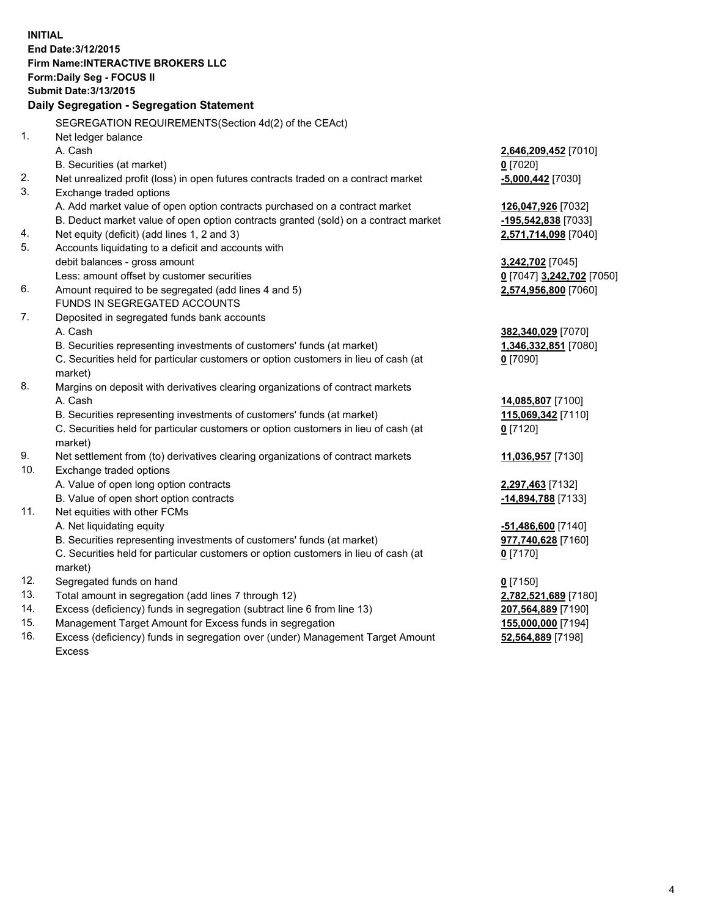**INITIAL End Date:3/12/2015 Firm Name:INTERACTIVE BROKERS LLC Form:Daily Seg - FOCUS II Submit Date:3/13/2015 Daily Segregation - Segregation Statement** SEGREGATION REQUIREMENTS(Section 4d(2) of the CEAct) 1. Net ledger balance A. Cash **2,646,209,452** [7010] B. Securities (at market) **0** [7020] 2. Net unrealized profit (loss) in open futures contracts traded on a contract market **-5,000,442** [7030] 3. Exchange traded options A. Add market value of open option contracts purchased on a contract market **126,047,926** [7032] B. Deduct market value of open option contracts granted (sold) on a contract market **-195,542,838** [7033] 4. Net equity (deficit) (add lines 1, 2 and 3) **2,571,714,098** [7040] 5. Accounts liquidating to a deficit and accounts with debit balances - gross amount **3,242,702** [7045] Less: amount offset by customer securities **0** [7047] **3,242,702** [7050] 6. Amount required to be segregated (add lines 4 and 5) **2,574,956,800** [7060] FUNDS IN SEGREGATED ACCOUNTS 7. Deposited in segregated funds bank accounts A. Cash **382,340,029** [7070] B. Securities representing investments of customers' funds (at market) **1,346,332,851** [7080] C. Securities held for particular customers or option customers in lieu of cash (at market) **0** [7090] 8. Margins on deposit with derivatives clearing organizations of contract markets A. Cash **14,085,807** [7100] B. Securities representing investments of customers' funds (at market) **115,069,342** [7110] C. Securities held for particular customers or option customers in lieu of cash (at market) **0** [7120] 9. Net settlement from (to) derivatives clearing organizations of contract markets **11,036,957** [7130] 10. Exchange traded options A. Value of open long option contracts **2,297,463** [7132] B. Value of open short option contracts **-14,894,788** [7133] 11. Net equities with other FCMs A. Net liquidating equity **-51,486,600** [7140] B. Securities representing investments of customers' funds (at market) **977,740,628** [7160] C. Securities held for particular customers or option customers in lieu of cash (at market) **0** [7170] 12. Segregated funds on hand **0** [7150] 13. Total amount in segregation (add lines 7 through 12) **2,782,521,689** [7180] 14. Excess (deficiency) funds in segregation (subtract line 6 from line 13) **207,564,889** [7190] 15. Management Target Amount for Excess funds in segregation **155,000,000** [7194]

16. Excess (deficiency) funds in segregation over (under) Management Target Amount Excess

**52,564,889** [7198]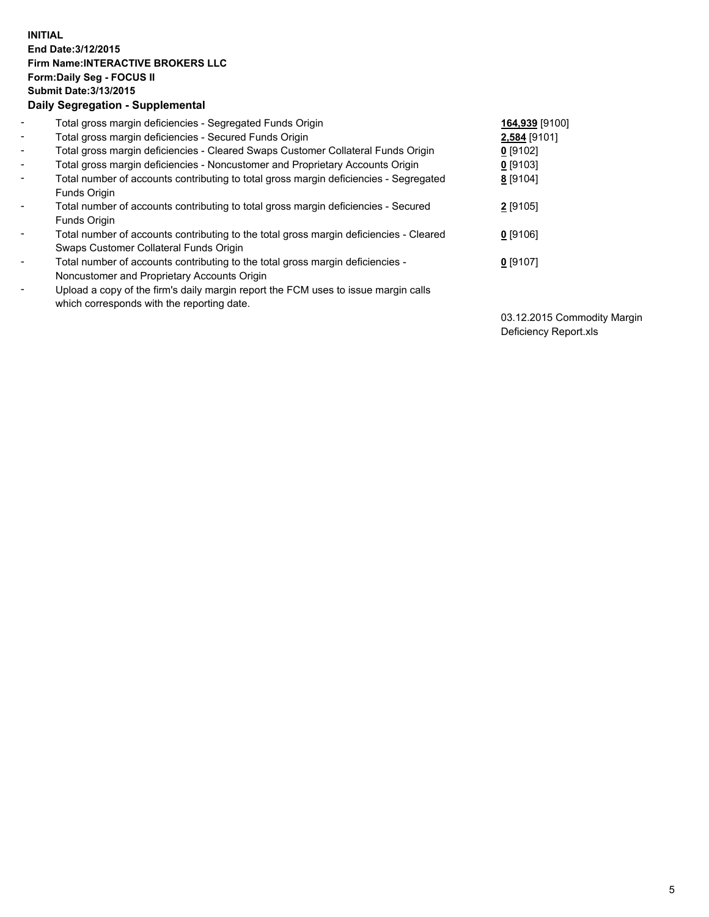## **INITIAL End Date:3/12/2015 Firm Name:INTERACTIVE BROKERS LLC Form:Daily Seg - FOCUS II Submit Date:3/13/2015 Daily Segregation - Supplemental**

| $\blacksquare$           | Total gross margin deficiencies - Segregated Funds Origin                              | 164,939 [9100] |
|--------------------------|----------------------------------------------------------------------------------------|----------------|
| $\blacksquare$           | Total gross margin deficiencies - Secured Funds Origin                                 | 2,584 [9101]   |
| $\blacksquare$           | Total gross margin deficiencies - Cleared Swaps Customer Collateral Funds Origin       | $0$ [9102]     |
| $\blacksquare$           | Total gross margin deficiencies - Noncustomer and Proprietary Accounts Origin          | $0$ [9103]     |
| $\blacksquare$           | Total number of accounts contributing to total gross margin deficiencies - Segregated  | 8 [9104]       |
|                          | Funds Origin                                                                           |                |
| $\blacksquare$           | Total number of accounts contributing to total gross margin deficiencies - Secured     | $2$ [9105]     |
|                          | Funds Origin                                                                           |                |
| $\overline{\phantom{a}}$ | Total number of accounts contributing to the total gross margin deficiencies - Cleared | $0$ [9106]     |
|                          | Swaps Customer Collateral Funds Origin                                                 |                |
| -                        | Total number of accounts contributing to the total gross margin deficiencies -         | $0$ [9107]     |
|                          | Noncustomer and Proprietary Accounts Origin                                            |                |
| $\blacksquare$           | Upload a copy of the firm's daily margin report the FCM uses to issue margin calls     |                |
|                          | which corresponds with the reporting date.                                             |                |

03.12.2015 Commodity Margin Deficiency Report.xls